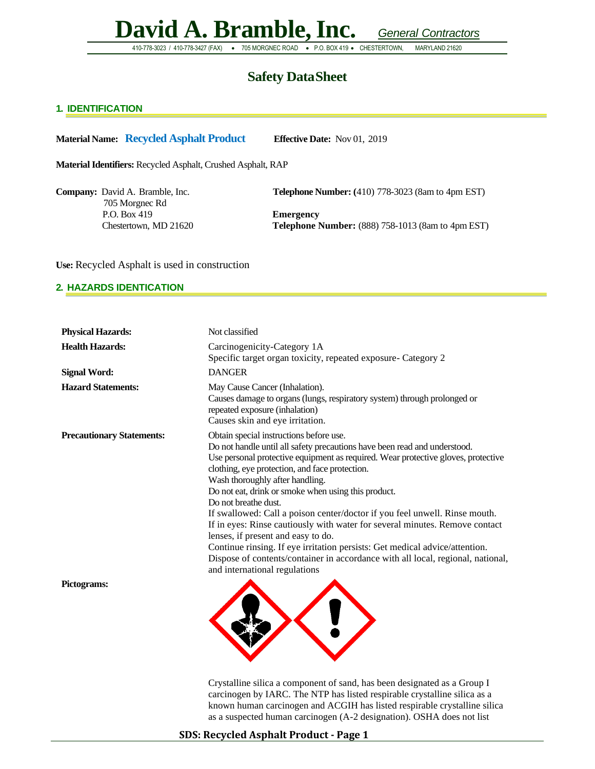410-778-3023 / 410-778-3427 (FAX) • 705 MORGNEC ROAD • P.O. BOX 419 • CHESTERTOWN, MARYLAND 21620

### **Safety DataSheet**

#### **1. IDENTIFICATION**

**Material Name: Recycled Asphalt Product Effective Date:** Nov 01, 2019

**Material Identifiers:** Recycled Asphalt, Crushed Asphalt, RAP

705 Morgnec Rd P.O. Box 419 **Emergency**

**Company:** David A. Bramble, Inc. **Telephone Number:** (410) 778-3023 (8am to 4pm EST)

Chestertown, MD 21620 **Telephone Number:** (888) 758-1013 (8am to 4pm EST)

**Use:** Recycled Asphalt is used in construction

#### **2. HAZARDS IDENTICATION**

| <b>Physical Hazards:</b>         | Not classified                                                                                                                                                                                                                                                                                                                                                                                                                                                                                                                                                                                                                                                                                                                                                                      |
|----------------------------------|-------------------------------------------------------------------------------------------------------------------------------------------------------------------------------------------------------------------------------------------------------------------------------------------------------------------------------------------------------------------------------------------------------------------------------------------------------------------------------------------------------------------------------------------------------------------------------------------------------------------------------------------------------------------------------------------------------------------------------------------------------------------------------------|
| <b>Health Hazards:</b>           | Carcinogenicity-Category 1A<br>Specific target organ toxicity, repeated exposure- Category 2                                                                                                                                                                                                                                                                                                                                                                                                                                                                                                                                                                                                                                                                                        |
| <b>Signal Word:</b>              | <b>DANGER</b>                                                                                                                                                                                                                                                                                                                                                                                                                                                                                                                                                                                                                                                                                                                                                                       |
| <b>Hazard Statements:</b>        | May Cause Cancer (Inhalation).<br>Causes damage to organs (lungs, respiratory system) through prolonged or<br>repeated exposure (inhalation)<br>Causes skin and eye irritation.                                                                                                                                                                                                                                                                                                                                                                                                                                                                                                                                                                                                     |
| <b>Precautionary Statements:</b> | Obtain special instructions before use.<br>Do not handle until all safety precautions have been read and understood.<br>Use personal protective equipment as required. Wear protective gloves, protective<br>clothing, eye protection, and face protection.<br>Wash thoroughly after handling.<br>Do not eat, drink or smoke when using this product.<br>Do not breathe dust.<br>If swallowed: Call a poison center/doctor if you feel unwell. Rinse mouth.<br>If in eyes: Rinse cautiously with water for several minutes. Remove contact<br>lenses, if present and easy to do.<br>Continue rinsing. If eye irritation persists: Get medical advice/attention.<br>Dispose of contents/container in accordance with all local, regional, national,<br>and international regulations |
| Pictograms:                      |                                                                                                                                                                                                                                                                                                                                                                                                                                                                                                                                                                                                                                                                                                                                                                                     |



Crystalline silica a component of sand, has been designated as a Group I carcinogen by IARC. The NTP has listed respirable crystalline silica as a known human carcinogen and ACGIH has listed respirable crystalline silica as a suspected human carcinogen (A-2 designation). OSHA does not list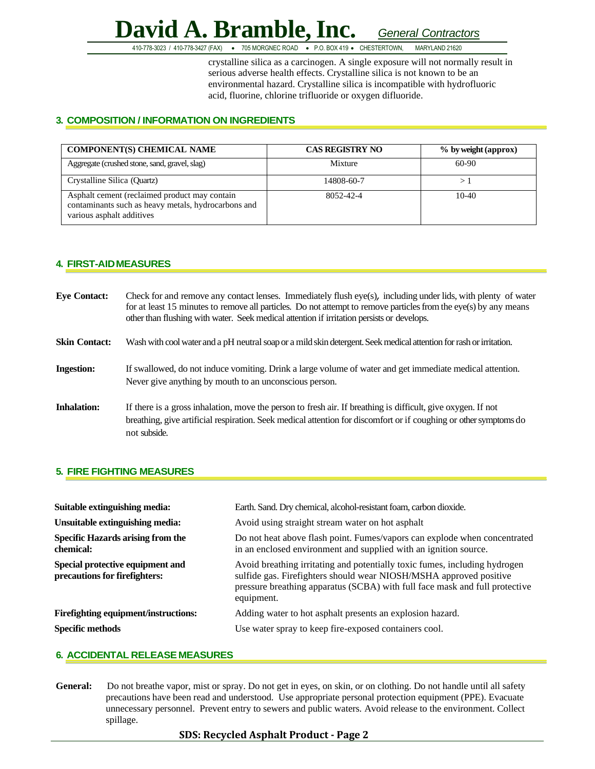410-778-3023 / 410-778-3427 (FAX) • 705 MORGNEC ROAD • P.O. BOX 419 • CHESTERTOWN, MARYLAND 21620

crystalline silica as a carcinogen. A single exposure will not normally result in serious adverse health effects. Crystalline silica is not known to be an environmental hazard. Crystalline silica is incompatible with hydrofluoric acid, fluorine, chlorine trifluoride or oxygen difluoride.

#### **3. COMPOSITION / INFORMATION ON INGREDIENTS**

| <b>COMPONENT(S) CHEMICAL NAME</b>                                                                                                 | <b>CAS REGISTRY NO</b> | % by weight (approx) |
|-----------------------------------------------------------------------------------------------------------------------------------|------------------------|----------------------|
| Aggregate (crushed stone, sand, gravel, slag)                                                                                     | Mixture                | 60-90                |
| Crystalline Silica (Quartz)                                                                                                       | 14808-60-7             |                      |
| Asphalt cement (reclaimed product may contain<br>contaminants such as heavy metals, hydrocarbons and<br>various asphalt additives | 8052-42-4              | $10-40$              |

#### **4. FIRST-AIDMEASURES**

| <b>Eye Contact:</b>  | Check for and remove any contact lenses. Immediately flush eye(s), including under lids, with plenty of water<br>for at least 15 minutes to remove all particles. Do not attempt to remove particles from the eye(s) by any means<br>other than flushing with water. Seek medical attention if irritation persists or develops. |
|----------------------|---------------------------------------------------------------------------------------------------------------------------------------------------------------------------------------------------------------------------------------------------------------------------------------------------------------------------------|
| <b>Skin Contact:</b> | Wash with cool water and a pH neutral soap or a mild skin detergent. Seek medical attention for rash or irritation.                                                                                                                                                                                                             |
| <b>Ingestion:</b>    | If swallowed, do not induce vomiting. Drink a large volume of water and get immediate medical attention.<br>Never give anything by mouth to an unconscious person.                                                                                                                                                              |
| <b>Inhalation:</b>   | If there is a gross inhalation, move the person to fresh air. If breathing is difficult, give oxygen. If not<br>breathing, give artificial respiration. Seek medical attention for discomfort or if coughing or other symptoms do<br>not subside.                                                                               |

#### **5. FIRE FIGHTING MEASURES**

| Suitable extinguishing media:                                     | Earth. Sand. Dry chemical, alcohol-resistant foam, carbon dioxide.                                                                                                                                                                            |
|-------------------------------------------------------------------|-----------------------------------------------------------------------------------------------------------------------------------------------------------------------------------------------------------------------------------------------|
| Unsuitable extinguishing media:                                   | Avoid using straight stream water on hot asphalt                                                                                                                                                                                              |
| <b>Specific Hazards arising from the</b><br>chemical:             | Do not heat above flash point. Fumes/vapors can explode when concentrated<br>in an enclosed environment and supplied with an ignition source.                                                                                                 |
| Special protective equipment and<br>precautions for firefighters: | Avoid breathing irritating and potentially toxic fumes, including hydrogen<br>sulfide gas. Firefighters should wear NIOSH/MSHA approved positive<br>pressure breathing apparatus (SCBA) with full face mask and full protective<br>equipment. |
| <b>Firefighting equipment/instructions:</b>                       | Adding water to hot asphalt presents an explosion hazard.                                                                                                                                                                                     |
| <b>Specific methods</b>                                           | Use water spray to keep fire-exposed containers cool.                                                                                                                                                                                         |

#### **6. ACCIDENTAL RELEASE MEASURES**

**General:** Do not breathe vapor, mist or spray. Do not get in eyes, on skin, or on clothing. Do not handle until all safety precautions have been read and understood. Use appropriate personal protection equipment (PPE). Evacuate unnecessary personnel. Prevent entry to sewers and public waters. Avoid release to the environment. Collect spillage.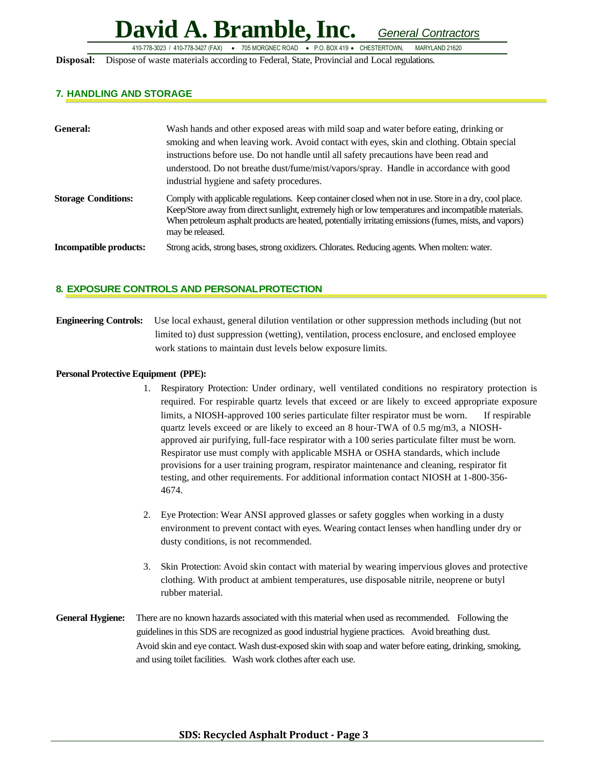## **David A. Bramble,Inc.** *General Contractors* 410-778-3023 / 410-778-3427 (FAX) • 705 MORGNEC ROAD • P.O. BOX 419 • CHESTERTOWN, MARYLAND 21620

**Disposal:** Dispose of waste materials according to Federal, State, Provincial and Local regulations.

#### **7. HANDLING AND STORAGE**

| General:                      | Wash hands and other exposed areas with mild soap and water before eating, drinking or<br>smoking and when leaving work. Avoid contact with eyes, skin and clothing. Obtain special<br>instructions before use. Do not handle until all safety precautions have been read and<br>understood. Do not breathe dust/fume/mist/vapors/spray. Handle in accordance with good<br>industrial hygiene and safety procedures. |
|-------------------------------|----------------------------------------------------------------------------------------------------------------------------------------------------------------------------------------------------------------------------------------------------------------------------------------------------------------------------------------------------------------------------------------------------------------------|
| <b>Storage Conditions:</b>    | Comply with applicable regulations. Keep container closed when not in use. Store in a dry, cool place.<br>Keep/Store away from direct sunlight, extremely high or low temperatures and incompatible materials.<br>When petroleum asphalt products are heated, potentially irritating emissions (fumes, mists, and vapors)<br>may be released.                                                                        |
| <b>Incompatible products:</b> | Strong acids, strong bases, strong oxidizers. Chlorates. Reducing agents. When molten: water.                                                                                                                                                                                                                                                                                                                        |

#### **8. EXPOSURE CONTROLS AND PERSONALPROTECTION**

**Engineering Controls:** Use local exhaust, general dilution ventilation or other suppression methods including (but not limited to) dust suppression (wetting), ventilation, process enclosure, and enclosed employee work stations to maintain dust levels below exposure limits.

#### **Personal Protective Equipment (PPE):**

- 1. Respiratory Protection: Under ordinary, well ventilated conditions no respiratory protection is required. For respirable quartz levels that exceed or are likely to exceed appropriate exposure limits, a NIOSH-approved 100 series particulate filter respirator must be worn. If respirable quartz levels exceed or are likely to exceed an 8 hour-TWA of 0.5 mg/m3, a NIOSHapproved air purifying, full-face respirator with a 100 series particulate filter must be worn. Respirator use must comply with applicable MSHA or OSHA standards, which include provisions for a user training program, respirator maintenance and cleaning, respirator fit testing, and other requirements. For additional information contact NIOSH at 1-800-356- 4674.
- 2. Eye Protection: Wear ANSI approved glasses or safety goggles when working in a dusty environment to prevent contact with eyes. Wearing contact lenses when handling under dry or dusty conditions, is not recommended.
- 3. Skin Protection: Avoid skin contact with material by wearing impervious gloves and protective clothing. With product at ambient temperatures, use disposable nitrile, neoprene or butyl rubber material.
- **General Hygiene:** There are no known hazards associated with this material when used as recommended. Following the guidelines in this SDS are recognized as good industrial hygiene practices. Avoid breathing dust. Avoid skin and eye contact. Wash dust-exposed skin with soap and water before eating, drinking, smoking, and using toilet facilities. Wash work clothes after each use.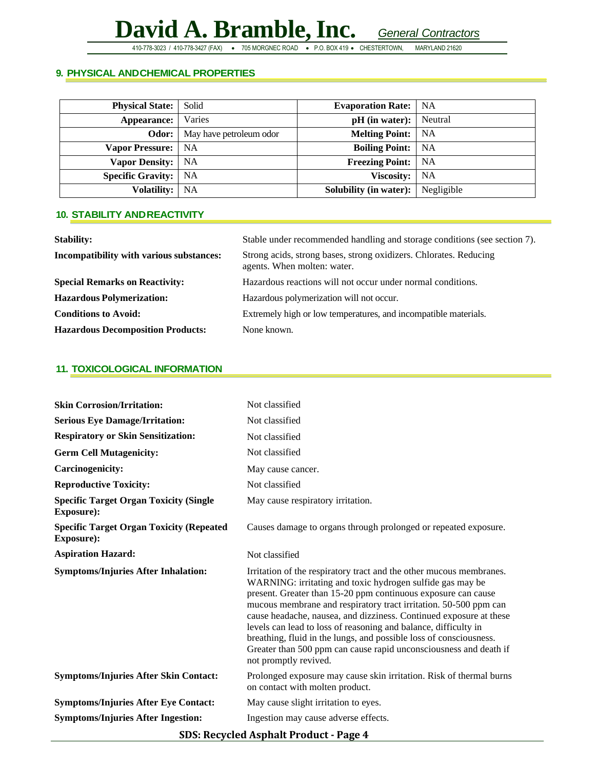410-778-3023 / 410-778-3427 (FAX) • 705 MORGNEC ROAD • P.O. BOX 419 • CHESTERTOWN, MARYLAND 21620

#### **9. PHYSICAL ANDCHEMICAL PROPERTIES**

| <b>Physical State:</b>        | Solid                   | <b>Evaporation Rate:</b>      | NA         |
|-------------------------------|-------------------------|-------------------------------|------------|
| Appearance:                   | Varies                  | $pH$ (in water):              | Neutral    |
| Odor:                         | May have petroleum odor | <b>Melting Point:</b>         | NA         |
| <b>Vapor Pressure:</b>        | NA                      | <b>Boiling Point:</b>         | <b>NA</b>  |
| <b>Vapor Density:</b> NA      |                         | <b>Freezing Point:</b>        | NA         |
| <b>Specific Gravity:</b>   NA |                         | <b>Viscosity:</b>             | NA         |
| <b>Volatility:</b>            | NA                      | <b>Solubility (in water):</b> | Negligible |

#### **10. STABILITY ANDREACTIVITY**

| <b>Stability:</b>                        | Stable under recommended handling and storage conditions (see section 7).                        |
|------------------------------------------|--------------------------------------------------------------------------------------------------|
| Incompatibility with various substances: | Strong acids, strong bases, strong oxidizers. Chlorates. Reducing<br>agents. When molten: water. |
| <b>Special Remarks on Reactivity:</b>    | Hazardous reactions will not occur under normal conditions.                                      |
| <b>Hazardous Polymerization:</b>         | Hazardous polymerization will not occur.                                                         |
| <b>Conditions to Avoid:</b>              | Extremely high or low temperatures, and incompatible materials.                                  |
| <b>Hazardous Decomposition Products:</b> | None known.                                                                                      |

#### **11. TOXICOLOGICAL INFORMATION**

| <b>Skin Corrosion/Irritation:</b>                             | Not classified                                                                                                                                                                                                                                                                                                                                                                                                                                                                                                                                                                     |
|---------------------------------------------------------------|------------------------------------------------------------------------------------------------------------------------------------------------------------------------------------------------------------------------------------------------------------------------------------------------------------------------------------------------------------------------------------------------------------------------------------------------------------------------------------------------------------------------------------------------------------------------------------|
| <b>Serious Eye Damage/Irritation:</b>                         | Not classified                                                                                                                                                                                                                                                                                                                                                                                                                                                                                                                                                                     |
| <b>Respiratory or Skin Sensitization:</b>                     | Not classified                                                                                                                                                                                                                                                                                                                                                                                                                                                                                                                                                                     |
| <b>Germ Cell Mutagenicity:</b>                                | Not classified                                                                                                                                                                                                                                                                                                                                                                                                                                                                                                                                                                     |
| <b>Carcinogenicity:</b>                                       | May cause cancer.                                                                                                                                                                                                                                                                                                                                                                                                                                                                                                                                                                  |
| <b>Reproductive Toxicity:</b>                                 | Not classified                                                                                                                                                                                                                                                                                                                                                                                                                                                                                                                                                                     |
| <b>Specific Target Organ Toxicity (Single</b><br>Exposure):   | May cause respiratory irritation.                                                                                                                                                                                                                                                                                                                                                                                                                                                                                                                                                  |
| <b>Specific Target Organ Toxicity (Repeated</b><br>Exposure): | Causes damage to organs through prolonged or repeated exposure.                                                                                                                                                                                                                                                                                                                                                                                                                                                                                                                    |
| <b>Aspiration Hazard:</b>                                     | Not classified                                                                                                                                                                                                                                                                                                                                                                                                                                                                                                                                                                     |
|                                                               |                                                                                                                                                                                                                                                                                                                                                                                                                                                                                                                                                                                    |
| <b>Symptoms/Injuries After Inhalation:</b>                    | Irritation of the respiratory tract and the other mucous membranes.<br>WARNING: irritating and toxic hydrogen sulfide gas may be<br>present. Greater than 15-20 ppm continuous exposure can cause<br>mucous membrane and respiratory tract irritation. 50-500 ppm can<br>cause headache, nausea, and dizziness. Continued exposure at these<br>levels can lead to loss of reasoning and balance, difficulty in<br>breathing, fluid in the lungs, and possible loss of consciousness.<br>Greater than 500 ppm can cause rapid unconsciousness and death if<br>not promptly revived. |
| <b>Symptoms/Injuries After Skin Contact:</b>                  | Prolonged exposure may cause skin irritation. Risk of thermal burns<br>on contact with molten product.                                                                                                                                                                                                                                                                                                                                                                                                                                                                             |
| <b>Symptoms/Injuries After Eye Contact:</b>                   | May cause slight irritation to eyes.                                                                                                                                                                                                                                                                                                                                                                                                                                                                                                                                               |
| <b>Symptoms/Injuries After Ingestion:</b>                     | Ingestion may cause adverse effects.                                                                                                                                                                                                                                                                                                                                                                                                                                                                                                                                               |

#### **SDS: Recycled Asphalt Product - Page 4**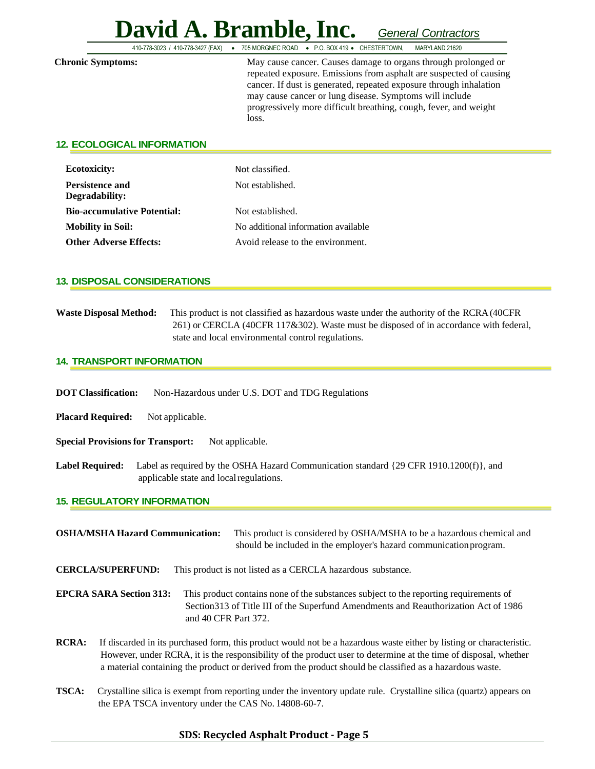410-778-3023 / 410-778-3427 (FAX) • 705 MORGNEC ROAD • P.O. BOX 419 • CHESTERTOWN, MARYLAND 21620

| <b>Chronic Symptoms:</b> | May cause cancer. Causes damage to organs through prolonged or     |
|--------------------------|--------------------------------------------------------------------|
|                          | repeated exposure. Emissions from asphalt are suspected of causing |
|                          | cancer. If dust is generated, repeated exposure through inhalation |
|                          | may cause cancer or lung disease. Symptoms will include            |
|                          | progressively more difficult breathing, cough, fever, and weight   |
|                          | loss.                                                              |
|                          |                                                                    |

#### **12. ECOLOGICAL INFORMATION**

| <b>Ecotoxicity:</b>                      | Not classified.                     |
|------------------------------------------|-------------------------------------|
| <b>Persistence and</b><br>Degradability: | Not established.                    |
| <b>Bio-accumulative Potential:</b>       | Not established.                    |
| <b>Mobility in Soil:</b>                 | No additional information available |
| <b>Other Adverse Effects:</b>            | Avoid release to the environment.   |

#### **13. DISPOSAL CONSIDERATIONS**

#### **Waste Disposal Method:** This product is not classified as hazardous waste under the authority of the RCRA(40CFR 261) or CERCLA (40CFR 117&302). Waste must be disposed of in accordance with federal, state and local environmental control regulations.

#### **14. TRANSPORT INFORMATION**

**DOT Classification:** Non-Hazardous under U.S. DOT and TDG Regulations

**Placard Required:** Not applicable.

**Special Provisions for Transport:** Not applicable.

**Label Required:** Label as required by the OSHA Hazard Communication standard {29 CFR 1910.1200(f)}, and applicable state and localregulations.

#### **15. REGULATORY INFORMATION**

| <b>OSHA/MSHA Hazard Communication:</b> | This product is considered by OSHA/MSHA to be a hazardous chemical and<br>should be included in the employer's hazard communication program.                                                          |
|----------------------------------------|-------------------------------------------------------------------------------------------------------------------------------------------------------------------------------------------------------|
| <b>CERCLA/SUPERFUND:</b>               | This product is not listed as a CERCLA hazardous substance.                                                                                                                                           |
| <b>EPCRA SARA Section 313:</b>         | This product contains none of the substances subject to the reporting requirements of<br>Section 313 of Title III of the Superfund Amendments and Reauthorization Act of 1986<br>and 40 CFR Part 372. |
| <b>RCRA:</b>                           | If discarded in its purchased form, this product would not be a hazardous waste either by listing or characteristic.                                                                                  |

- However, under RCRA, it is the responsibility of the product user to determine at the time of disposal, whether a material containing the product or derived from the product should be classified as a hazardous waste.
- **TSCA:** Crystalline silica is exempt from reporting under the inventory update rule. Crystalline silica (quartz) appears on the EPA TSCA inventory under the CAS No. 14808-60-7.

#### **SDS: Recycled Asphalt Product - Page 5**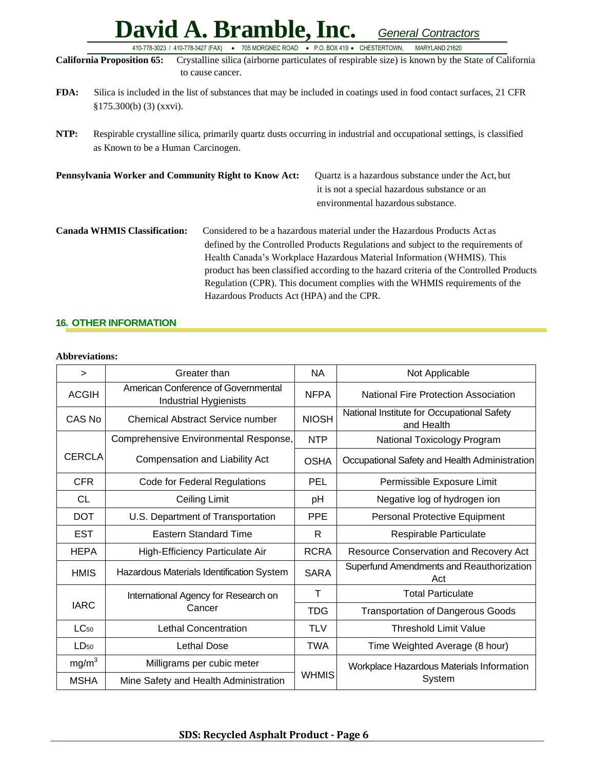## **David A. Bramble,Inc.** *General Contractors* 410-778-3023 / 410-778-3427 (FAX) • 705 MORGNEC ROAD • P.O. BOX 419 • CHESTERTOWN, MARYLAND 21620

**California Proposition 65:** Crystalline silica (airborne particulates of respirable size) is known by the State of California to cause cancer.

- **FDA:** Silica is included in the list of substances that may be included in coatings used in food contact surfaces, 21 CFR §175.300(b) (3) (xxvi).
- **NTP:** Respirable crystalline silica, primarily quartz dusts occurring in industrial and occupational settings, is classified as Known to be a Human Carcinogen.

| Pennsylvania Worker and Community Right to Know Act: | Quartz is a hazardous substance under the Act, but |
|------------------------------------------------------|----------------------------------------------------|
|                                                      | it is not a special hazardous substance or an      |
|                                                      | environmental hazardous substance.                 |

**Canada WHMIS Classification:** Considered to be a hazardous material under the Hazardous Products Act as defined by the Controlled Products Regulations and subject to the requirements of Health Canada's Workplace Hazardous Material Information (WHMIS). This product has been classified according to the hazard criteria of the Controlled Products Regulation (CPR). This document complies with the WHMIS requirements of the Hazardous Products Act (HPA) and the CPR.

#### **16. OTHER INFORMATION**

| $\,>$             | Greater than                                                        | <b>NA</b>    | Not Applicable                                           |
|-------------------|---------------------------------------------------------------------|--------------|----------------------------------------------------------|
| <b>ACGIH</b>      | American Conference of Governmental<br><b>Industrial Hygienists</b> | <b>NFPA</b>  | National Fire Protection Association                     |
| CAS No            | <b>Chemical Abstract Service number</b>                             | <b>NIOSH</b> | National Institute for Occupational Safety<br>and Health |
|                   | Comprehensive Environmental Response,                               | <b>NTP</b>   | National Toxicology Program                              |
| <b>CERCLA</b>     | Compensation and Liability Act                                      | <b>OSHA</b>  | Occupational Safety and Health Administration            |
| <b>CFR</b>        | <b>Code for Federal Regulations</b>                                 | <b>PEL</b>   | Permissible Exposure Limit                               |
| СL                | Ceiling Limit                                                       | pH           | Negative log of hydrogen ion                             |
| DOT               | U.S. Department of Transportation                                   | <b>PPE</b>   | Personal Protective Equipment                            |
| EST               | <b>Eastern Standard Time</b>                                        | R            | Respirable Particulate                                   |
| <b>HEPA</b>       | High-Efficiency Particulate Air                                     | <b>RCRA</b>  | Resource Conservation and Recovery Act                   |
| <b>HMIS</b>       | Hazardous Materials Identification System                           | <b>SARA</b>  | Superfund Amendments and Reauthorization<br>Act          |
| <b>IARC</b>       | International Agency for Research on<br>Cancer                      | т            | <b>Total Particulate</b>                                 |
|                   |                                                                     | TDG          | <b>Transportation of Dangerous Goods</b>                 |
| $LC_{50}$         | <b>Lethal Concentration</b>                                         | TLV          | <b>Threshold Limit Value</b>                             |
| LD <sub>50</sub>  | Lethal Dose                                                         | TWA          | Time Weighted Average (8 hour)                           |
| mg/m <sup>3</sup> | Milligrams per cubic meter                                          | <b>WHMIS</b> | Workplace Hazardous Materials Information                |
| <b>MSHA</b>       | Mine Safety and Health Administration                               |              | System                                                   |

#### **Abbreviations:**